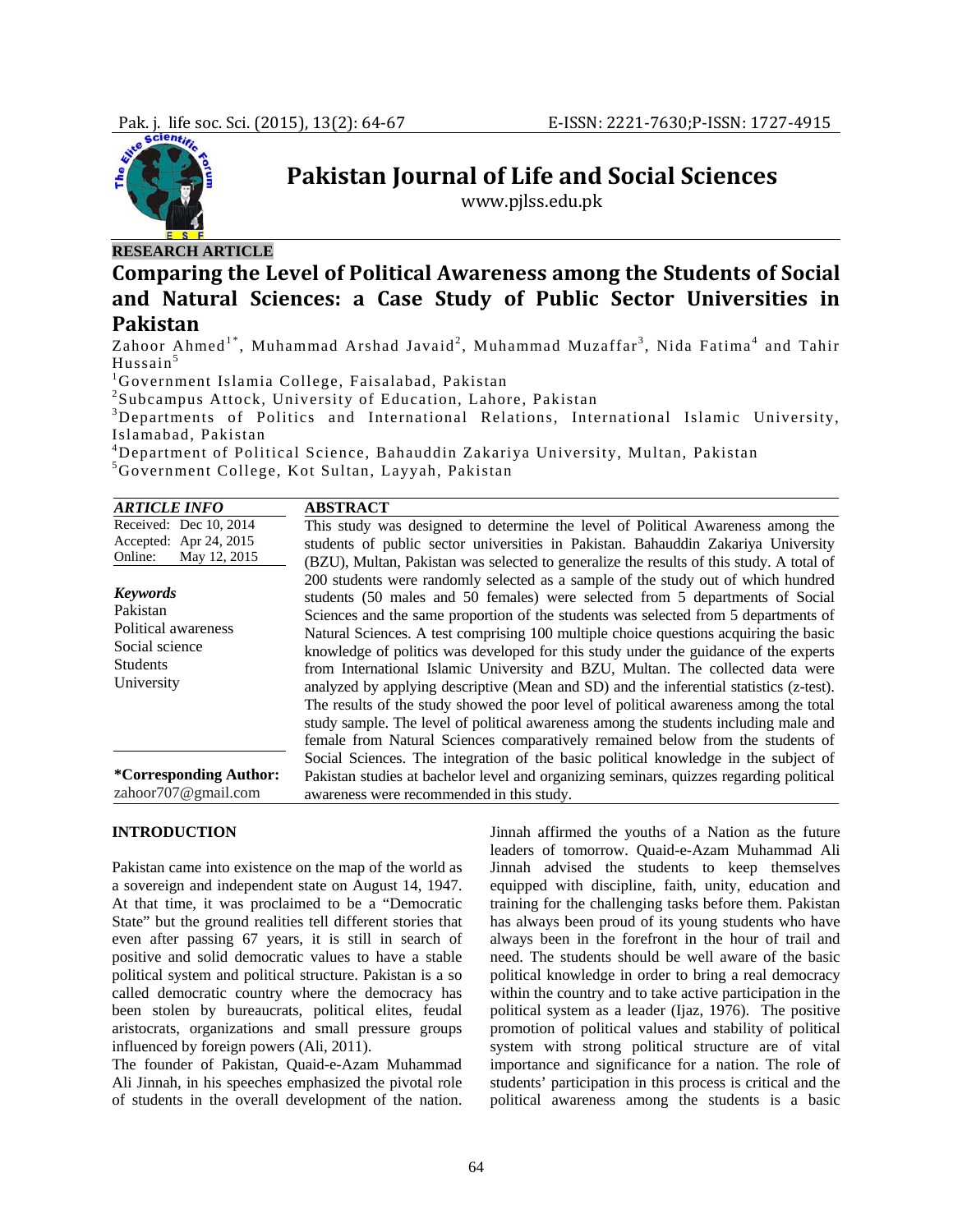

# **Pakistan Journal of Life and Social Sciences**

www.pjlss.edu.pk

**RESEARCH ARTICLE**

**Comparing the Level of Political Awareness among the Students of Social and Natural Sciences: a Case Study of Public Sector Universities in Pakistan**

Zahoor Ahmed<sup>1\*</sup>, Muhammad Arshad Javaid<sup>2</sup>, Muhammad Muzaffar<sup>3</sup>, Nida Fatima<sup>4</sup> and Tahir Hussain<sup>5</sup>

<sup>1</sup>Government Islamia College, Faisalabad, Pakistan

2 Subcampus Attock, University of Education, Lahore, Pakistan

<sup>3</sup>Departments of Politics and International Relations, International Islamic University, Islamabad, Pakistan

<sup>4</sup>Department of Political Science, Bahauddin Zakariya University, Multan, Pakistan Government College, Kot Sultan, Layyah, Pakistan

| <b>ARTICLE INFO</b>                                                                                                                                                                  | <b>ABSTRACT</b>                                                                                                                                                                                                                                                                                                                                                                                                                                                                                                                                                                                                                                                                                                                                                                                                                                                                             |
|--------------------------------------------------------------------------------------------------------------------------------------------------------------------------------------|---------------------------------------------------------------------------------------------------------------------------------------------------------------------------------------------------------------------------------------------------------------------------------------------------------------------------------------------------------------------------------------------------------------------------------------------------------------------------------------------------------------------------------------------------------------------------------------------------------------------------------------------------------------------------------------------------------------------------------------------------------------------------------------------------------------------------------------------------------------------------------------------|
| Received: Dec 10, 2014<br>Accepted: Apr 24, 2015<br>Online:<br>May 12, 2015<br><b>Keywords</b><br>Pakistan<br>Political awareness<br>Social science<br><b>Students</b><br>University | This study was designed to determine the level of Political Awareness among the<br>students of public sector universities in Pakistan. Bahauddin Zakariya University<br>(BZU), Multan, Pakistan was selected to generalize the results of this study. A total of<br>200 students were randomly selected as a sample of the study out of which hundred<br>students (50 males and 50 females) were selected from 5 departments of Social<br>Sciences and the same proportion of the students was selected from 5 departments of<br>Natural Sciences. A test comprising 100 multiple choice questions acquiring the basic<br>knowledge of politics was developed for this study under the guidance of the experts<br>from International Islamic University and BZU, Multan. The collected data were<br>analyzed by applying descriptive (Mean and SD) and the inferential statistics (z-test). |
| *Corresponding Author:<br>zahoor707@gmail.com                                                                                                                                        | The results of the study showed the poor level of political awareness among the total<br>study sample. The level of political awareness among the students including male and<br>female from Natural Sciences comparatively remained below from the students of<br>Social Sciences. The integration of the basic political knowledge in the subject of<br>Pakistan studies at bachelor level and organizing seminars, quizzes regarding political<br>awareness were recommended in this study.                                                                                                                                                                                                                                                                                                                                                                                              |

# **INTRODUCTION**

Pakistan came into existence on the map of the world as a sovereign and independent state on August 14, 1947. At that time, it was proclaimed to be a "Democratic State" but the ground realities tell different stories that even after passing 67 years, it is still in search of positive and solid democratic values to have a stable political system and political structure. Pakistan is a so called democratic country where the democracy has been stolen by bureaucrats, political elites, feudal aristocrats, organizations and small pressure groups influenced by foreign powers (Ali, 2011).

The founder of Pakistan, Quaid-e-Azam Muhammad Ali Jinnah, in his speeches emphasized the pivotal role of students in the overall development of the nation.

Jinnah affirmed the youths of a Nation as the future leaders of tomorrow. Quaid-e-Azam Muhammad Ali Jinnah advised the students to keep themselves equipped with discipline, faith, unity, education and training for the challenging tasks before them. Pakistan has always been proud of its young students who have always been in the forefront in the hour of trail and need. The students should be well aware of the basic political knowledge in order to bring a real democracy within the country and to take active participation in the political system as a leader (Ijaz, 1976). The positive promotion of political values and stability of political system with strong political structure are of vital importance and significance for a nation. The role of students' participation in this process is critical and the political awareness among the students is a basic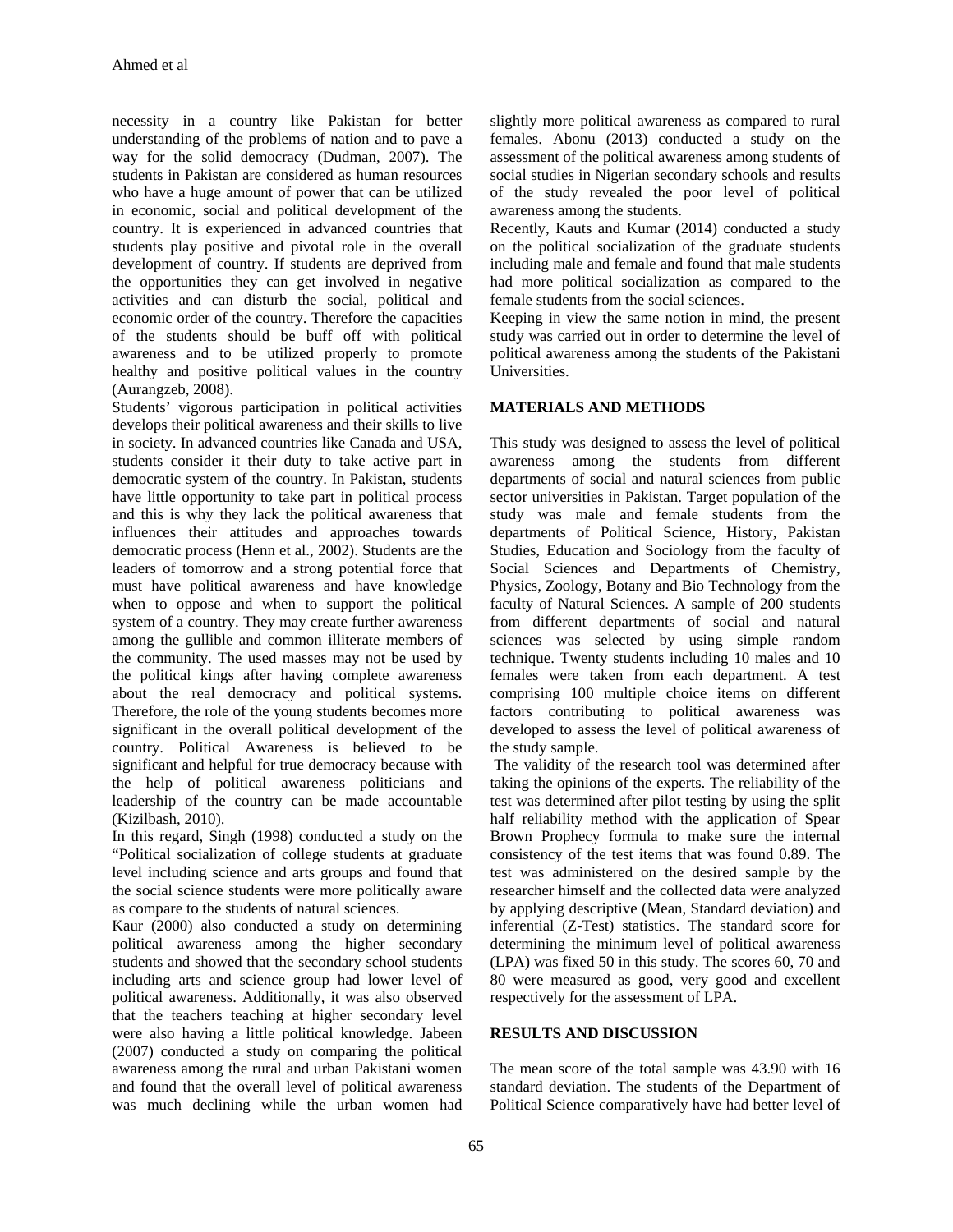necessity in a country like Pakistan for better understanding of the problems of nation and to pave a way for the solid democracy (Dudman, 2007). The students in Pakistan are considered as human resources who have a huge amount of power that can be utilized in economic, social and political development of the country. It is experienced in advanced countries that students play positive and pivotal role in the overall development of country. If students are deprived from the opportunities they can get involved in negative activities and can disturb the social, political and economic order of the country. Therefore the capacities of the students should be buff off with political awareness and to be utilized properly to promote healthy and positive political values in the country (Aurangzeb, 2008).

Students' vigorous participation in political activities develops their political awareness and their skills to live in society. In advanced countries like Canada and USA, students consider it their duty to take active part in democratic system of the country. In Pakistan, students have little opportunity to take part in political process and this is why they lack the political awareness that influences their attitudes and approaches towards democratic process (Henn et al., 2002). Students are the leaders of tomorrow and a strong potential force that must have political awareness and have knowledge when to oppose and when to support the political system of a country. They may create further awareness among the gullible and common illiterate members of the community. The used masses may not be used by the political kings after having complete awareness about the real democracy and political systems. Therefore, the role of the young students becomes more significant in the overall political development of the country. Political Awareness is believed to be significant and helpful for true democracy because with the help of political awareness politicians and leadership of the country can be made accountable (Kizilbash, 2010).

In this regard, Singh (1998) conducted a study on the "Political socialization of college students at graduate level including science and arts groups and found that the social science students were more politically aware as compare to the students of natural sciences.

Kaur (2000) also conducted a study on determining political awareness among the higher secondary students and showed that the secondary school students including arts and science group had lower level of political awareness. Additionally, it was also observed that the teachers teaching at higher secondary level were also having a little political knowledge. Jabeen (2007) conducted a study on comparing the political awareness among the rural and urban Pakistani women and found that the overall level of political awareness was much declining while the urban women had

slightly more political awareness as compared to rural females. Abonu (2013) conducted a study on the assessment of the political awareness among students of social studies in Nigerian secondary schools and results of the study revealed the poor level of political awareness among the students.

Recently, Kauts and Kumar (2014) conducted a study on the political socialization of the graduate students including male and female and found that male students had more political socialization as compared to the female students from the social sciences.

Keeping in view the same notion in mind, the present study was carried out in order to determine the level of political awareness among the students of the Pakistani Universities.

# **MATERIALS AND METHODS**

This study was designed to assess the level of political awareness among the students from different departments of social and natural sciences from public sector universities in Pakistan. Target population of the study was male and female students from the departments of Political Science, History, Pakistan Studies, Education and Sociology from the faculty of Social Sciences and Departments of Chemistry, Physics, Zoology, Botany and Bio Technology from the faculty of Natural Sciences. A sample of 200 students from different departments of social and natural sciences was selected by using simple random technique. Twenty students including 10 males and 10 females were taken from each department. A test comprising 100 multiple choice items on different factors contributing to political awareness was developed to assess the level of political awareness of the study sample.

 The validity of the research tool was determined after taking the opinions of the experts. The reliability of the test was determined after pilot testing by using the split half reliability method with the application of Spear Brown Prophecy formula to make sure the internal consistency of the test items that was found 0.89. The test was administered on the desired sample by the researcher himself and the collected data were analyzed by applying descriptive (Mean, Standard deviation) and inferential (Z-Test) statistics. The standard score for determining the minimum level of political awareness (LPA) was fixed 50 in this study. The scores 60, 70 and 80 were measured as good, very good and excellent respectively for the assessment of LPA.

### **RESULTS AND DISCUSSION**

The mean score of the total sample was 43.90 with 16 standard deviation. The students of the Department of Political Science comparatively have had better level of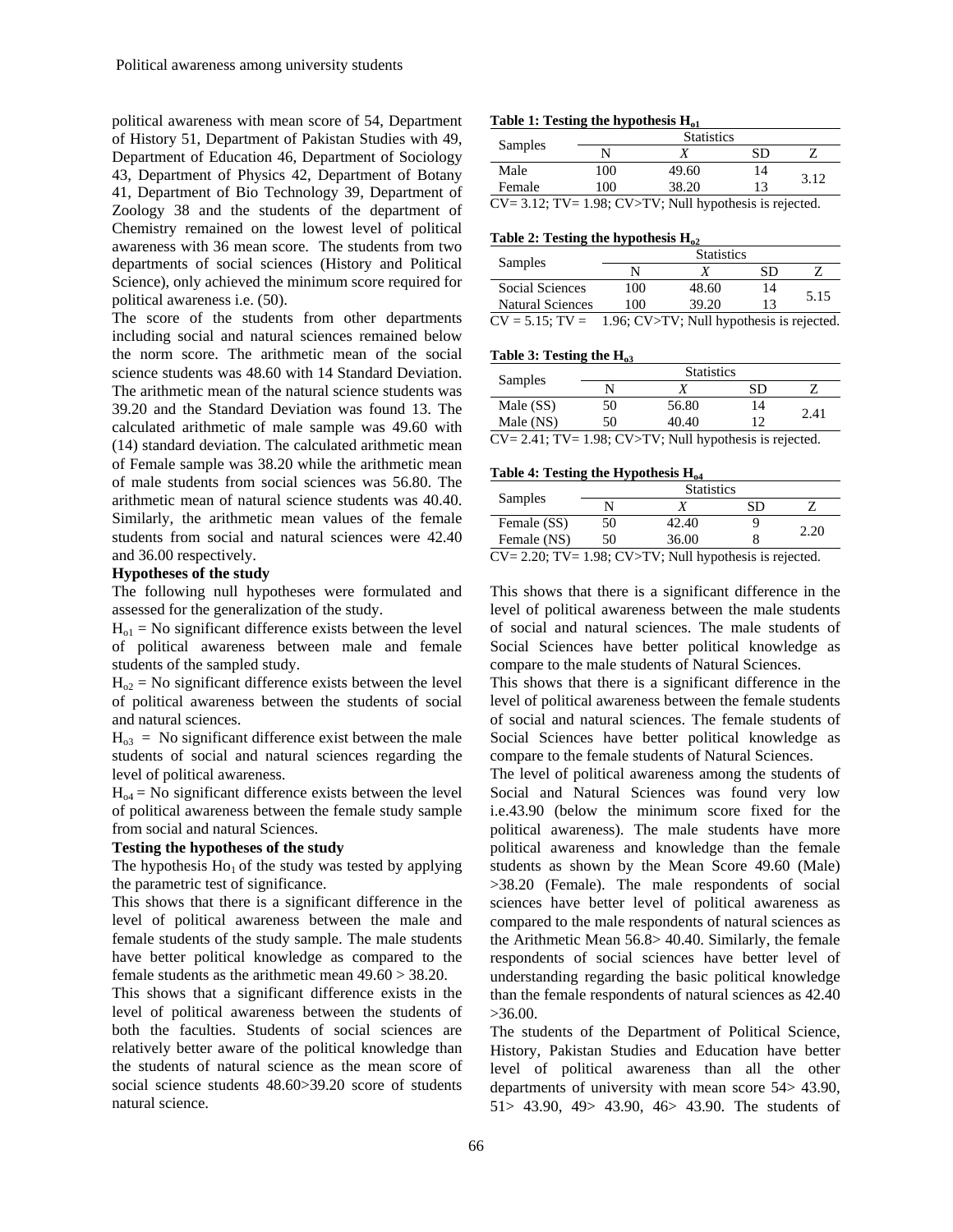political awareness with mean score of 54, Department of History 51, Department of Pakistan Studies with 49, Department of Education 46, Department of Sociology 43, Department of Physics 42, Department of Botany 41, Department of Bio Technology 39, Department of Zoology 38 and the students of the department of Chemistry remained on the lowest level of political awareness with 36 mean score. The students from two departments of social sciences (History and Political Science), only achieved the minimum score required for political awareness i.e. (50).

The score of the students from other departments including social and natural sciences remained below the norm score. The arithmetic mean of the social science students was 48.60 with 14 Standard Deviation. The arithmetic mean of the natural science students was 39.20 and the Standard Deviation was found 13. The calculated arithmetic of male sample was 49.60 with (14) standard deviation. The calculated arithmetic mean of Female sample was 38.20 while the arithmetic mean of male students from social sciences was 56.80. The arithmetic mean of natural science students was 40.40. Similarly, the arithmetic mean values of the female students from social and natural sciences were 42.40 and 36.00 respectively.

#### **Hypotheses of the study**

The following null hypotheses were formulated and assessed for the generalization of the study.

 $H<sub>ol</sub>$  = No significant difference exists between the level of political awareness between male and female students of the sampled study.

 $H<sub>o2</sub>$  = No significant difference exists between the level of political awareness between the students of social and natural sciences.

 $H_{03}$  = No significant difference exist between the male students of social and natural sciences regarding the level of political awareness.

 $H_{o4}$  = No significant difference exists between the level of political awareness between the female study sample from social and natural Sciences.

#### **Testing the hypotheses of the study**

The hypothesis  $Ho_1$  of the study was tested by applying the parametric test of significance.

This shows that there is a significant difference in the level of political awareness between the male and female students of the study sample. The male students have better political knowledge as compared to the female students as the arithmetic mean 49.60 > 38.20.

This shows that a significant difference exists in the level of political awareness between the students of both the faculties. Students of social sciences are relatively better aware of the political knowledge than the students of natural science as the mean score of social science students 48.60>39.20 score of students natural science.

#### Table 1: Testing the hypothesis  $H_{01}$

|                                                                      |     | <b>Statistics</b> |    |      |  |
|----------------------------------------------------------------------|-----|-------------------|----|------|--|
| Samples                                                              |     |                   | SD |      |  |
| Male                                                                 | 100 | 49.60             | 14 | 3.12 |  |
| Female                                                               | 100 | 38.20             | 13 |      |  |
| $CV = 3.12$ ; $TV = 1.98$ ; $CV > TV$ ; Null hypothesis is rejected. |     |                   |    |      |  |

#### Table 2: Testing the hypothesis  $H_{02}$

|                                                                      |     | <b>Statistics</b> |    |      |
|----------------------------------------------------------------------|-----|-------------------|----|------|
| Samples                                                              | N   |                   | SD |      |
| Social Sciences                                                      | 100 | 48.60             | 14 | 5.15 |
| <b>Natural Sciences</b>                                              | 100 | 39.20             | 13 |      |
| $CV = 5.15$ ; $TV = 1.96$ ; $CV > TV$ ; Null hypothesis is rejected. |     |                   |    |      |

#### **Table 3: Testing the**  $H_{03}$

|           |    | <b>Statistics</b> |    |      |
|-----------|----|-------------------|----|------|
| Samples   |    |                   | SD |      |
| Male (SS) | 50 | 56.80             | 14 | 2.41 |
| Male (NS) | 50 | 40.40             | 12 |      |
|           |    |                   |    |      |

 $CV = 2.41$ ; TV= 1.98; CV>TV; Null hypothesis is rejected.

#### **Table 4: Testing the Hypothesis Ho4**

|                                                                                 | <b>Statistics</b> |       |    |      |
|---------------------------------------------------------------------------------|-------------------|-------|----|------|
| Samples                                                                         |                   |       | SD |      |
| Female (SS)                                                                     | 50                | 42.40 |    | 2.20 |
| Female (NS)                                                                     | 50                | 36.00 |    |      |
| $CV-2.20 \cdot TV-1.98 \cdot CV\setminus TV \cdot$ Null by potheric is rejected |                   |       |    |      |

 $CV = 2.20$ ;  $TV = 1.98$ ;  $CV > TV$ ; Null hypothesis is rejected.

This shows that there is a significant difference in the level of political awareness between the male students of social and natural sciences. The male students of Social Sciences have better political knowledge as compare to the male students of Natural Sciences.

This shows that there is a significant difference in the level of political awareness between the female students of social and natural sciences. The female students of Social Sciences have better political knowledge as compare to the female students of Natural Sciences.

The level of political awareness among the students of Social and Natural Sciences was found very low i.e.43.90 (below the minimum score fixed for the political awareness). The male students have more political awareness and knowledge than the female students as shown by the Mean Score 49.60 (Male) >38.20 (Female). The male respondents of social sciences have better level of political awareness as compared to the male respondents of natural sciences as the Arithmetic Mean 56.8> 40.40. Similarly, the female respondents of social sciences have better level of understanding regarding the basic political knowledge than the female respondents of natural sciences as 42.40 >36.00.

The students of the Department of Political Science, History, Pakistan Studies and Education have better level of political awareness than all the other departments of university with mean score 54> 43.90, 51> 43.90, 49> 43.90, 46> 43.90. The students of